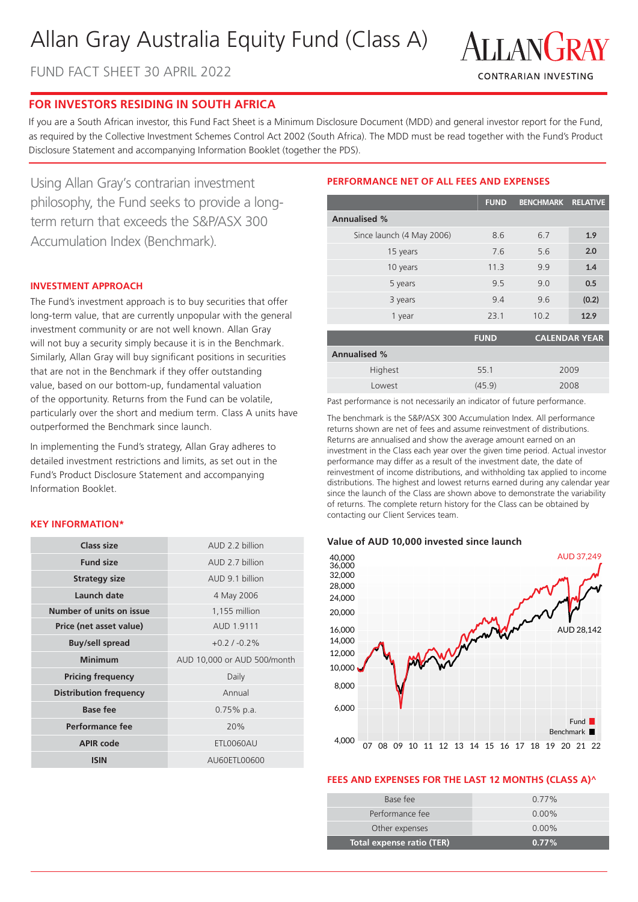# Allan Gray Australia Equity Fund (Class A)





# **FOR INVESTORS RESIDING IN SOUTH AFRICA**

If you are a South African investor, this Fund Fact Sheet is a Minimum Disclosure Document (MDD) and general investor report for the Fund, as required by the Collective Investment Schemes Control Act 2002 (South Africa). The MDD must be read together with the Fund's Product Disclosure Statement and accompanying Information Booklet (together the PDS).

Using Allan Gray's contrarian investment philosophy, the Fund seeks to provide a longterm return that exceeds the S&P/ASX 300 Accumulation Index (Benchmark).

#### **INVESTMENT APPROACH**

The Fund's investment approach is to buy securities that offer long-term value, that are currently unpopular with the general investment community or are not well known. Allan Gray will not buy a security simply because it is in the Benchmark. Similarly, Allan Gray will buy significant positions in securities that are not in the Benchmark if they offer outstanding value, based on our bottom-up, fundamental valuation of the opportunity. Returns from the Fund can be volatile, particularly over the short and medium term. Class A units have outperformed the Benchmark since launch.

In implementing the Fund's strategy, Allan Gray adheres to detailed investment restrictions and limits, as set out in the Fund's Product Disclosure Statement and accompanying Information Booklet.

#### **KEY INFORMATION\***

| Class size                    | AUD 2.2 billion                              |  |
|-------------------------------|----------------------------------------------|--|
| <b>Fund size</b>              | AUD 2.7 billion                              |  |
| <b>Strategy size</b>          | AUD 9.1 billion                              |  |
| Launch date                   | 4 May 2006                                   |  |
| Number of units on issue      | 1,155 million                                |  |
| Price (net asset value)       | AUD 1.9111                                   |  |
| <b>Buy/sell spread</b>        | $+0.2/ -0.2%$<br>AUD 10,000 or AUD 500/month |  |
| Minimum                       |                                              |  |
|                               |                                              |  |
| <b>Pricing frequency</b>      | Daily                                        |  |
| <b>Distribution frequency</b> | Annual                                       |  |
| <b>Base fee</b>               | $0.75\%$ p.a.                                |  |
| Performance fee               | 20%                                          |  |
| <b>APIR code</b>              | ETL0060AU                                    |  |

## **PERFORMANCE NET OF ALL FEES AND EXPENSES**

|                           | <b>FUND</b>                         | BENCHMARK RELATIVE |       |  |
|---------------------------|-------------------------------------|--------------------|-------|--|
| <b>Annualised %</b>       |                                     |                    |       |  |
| Since launch (4 May 2006) | 8.6                                 | 6.7                | 1.9   |  |
| 15 years                  | 7.6                                 | 5.6                | 2.0   |  |
| 10 years                  | 11.3                                | 9.9                | 1.4   |  |
| 5 years                   | 9.5                                 | 9.0                | 0.5   |  |
| 3 years                   | 9.4                                 | 9.6                | (0.2) |  |
| 1 year                    | 23.1                                | 10.2               | 12.9  |  |
|                           | <b>CALENDAR YEAR</b><br><b>FUND</b> |                    |       |  |
| $\blacksquare$            |                                     |                    |       |  |

| <b>Annualised %</b> |        |      |  |
|---------------------|--------|------|--|
| Highest             | 55.1   | 2009 |  |
| Lowest              | (45.9) | 2008 |  |

Past performance is not necessarily an indicator of future performance.

The benchmark is the S&P/ASX 300 Accumulation Index. All performance returns shown are net of fees and assume reinvestment of distributions. Returns are annualised and show the average amount earned on an investment in the Class each year over the given time period. Actual investor performance may differ as a result of the investment date, the date of reinvestment of income distributions, and withholding tax applied to income distributions. The highest and lowest returns earned during any calendar year since the launch of the Class are shown above to demonstrate the variability of returns. The complete return history for the Class can be obtained by contacting our Client Services team.

#### **Value of AUD 10,000 invested since launch**



# **FEES AND EXPENSES FOR THE LAST 12 MONTHS (CLASS A)^**

| Total expense ratio (TER) | $0.77\%$ |
|---------------------------|----------|
| Other expenses            | $0.00\%$ |
| Performance fee           | $0.00\%$ |
| Base fee                  | $0.77\%$ |
|                           |          |